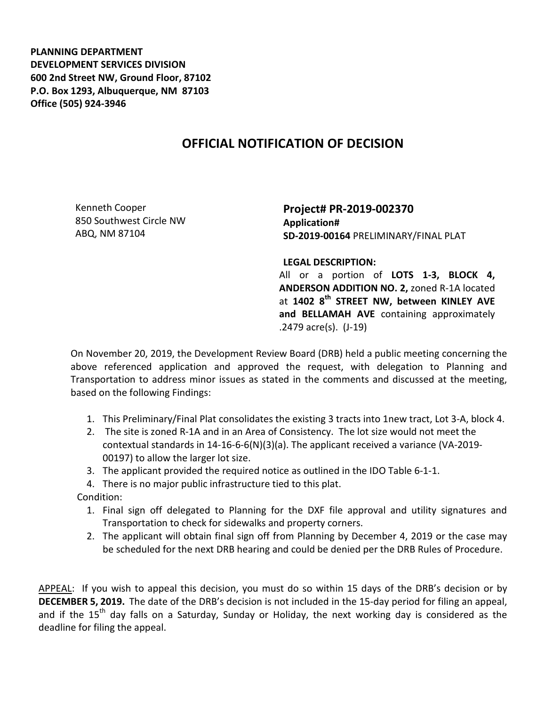**PLANNING DEPARTMENT DEVELOPMENT SERVICES DIVISION 600 2nd Street NW, Ground Floor, 87102 P.O. Box 1293, Albuquerque, NM 87103 Office (505) 924-3946** 

## **OFFICIAL NOTIFICATION OF DECISION**

Kenneth Cooper 850 Southwest Circle NW ABQ, NM 87104

**Project# PR-2019-002370 Application# SD-2019-00164** PRELIMINARY/FINAL PLAT

**LEGAL DESCRIPTION:**

All or a portion of **LOTS 1-3, BLOCK 4, ANDERSON ADDITION NO. 2,** zoned R-1A located at **1402 8th STREET NW, between KINLEY AVE and BELLAMAH AVE** containing approximately .2479 acre(s). (J-19)

On November 20, 2019, the Development Review Board (DRB) held a public meeting concerning the above referenced application and approved the request, with delegation to Planning and Transportation to address minor issues as stated in the comments and discussed at the meeting, based on the following Findings:

- 1. This Preliminary/Final Plat consolidates the existing 3 tracts into 1new tract, Lot 3-A, block 4.
- 2. The site is zoned R-1A and in an Area of Consistency. The lot size would not meet the contextual standards in 14-16-6-6(N)(3)(a). The applicant received a variance (VA-2019- 00197) to allow the larger lot size.
- 3. The applicant provided the required notice as outlined in the IDO Table 6-1-1.
- 4. There is no major public infrastructure tied to this plat.

Condition:

- 1. Final sign off delegated to Planning for the DXF file approval and utility signatures and Transportation to check for sidewalks and property corners.
- 2. The applicant will obtain final sign off from Planning by December 4, 2019 or the case may be scheduled for the next DRB hearing and could be denied per the DRB Rules of Procedure.

APPEAL: If you wish to appeal this decision, you must do so within 15 days of the DRB's decision or by **DECEMBER 5, 2019.** The date of the DRB's decision is not included in the 15-day period for filing an appeal, and if the  $15<sup>th</sup>$  day falls on a Saturday, Sunday or Holiday, the next working day is considered as the deadline for filing the appeal.